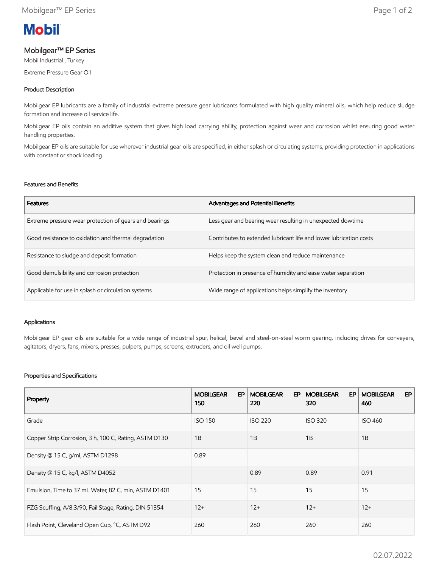# **Mobil**

# Mobilgear™ EP Series

Mobil Industrial , Turkey

Extreme Pressure Gear Oil

## Product Description

Mobilgear EP lubricants are a family of industrial extreme pressure gear lubricants formulated with high quality mineral oils, which help reduce sludge formation and increase oil service life.

Mobilgear EP oils contain an additive system that gives high load carrying ability, protection against wear and corrosion whilst ensuring good water handling properties.

Mobilgear EP oils are suitable for use wherever industrial gear oils are specified, in either splash or circulating systems, providing protection in applications with constant or shock loading.

## Features and Benefits

| <b>Features</b>                                        | Advantages and Potential Benefits                                  |
|--------------------------------------------------------|--------------------------------------------------------------------|
| Extreme pressure wear protection of gears and bearings | Less gear and bearing wear resulting in unexpected dowtime         |
| Good resistance to oxidation and thermal degradation   | Contributes to extended lubricant life and lower lubrication costs |
| Resistance to sludge and deposit formation             | Helps keep the system clean and reduce maintenance                 |
| Good demulsibility and corrosion protection            | Protection in presence of humidity and ease water separation       |
| Applicable for use in splash or circulation systems    | Wide range of applications helps simplify the inventory            |

## Applications

Mobilgear EP gear oils are suitable for a wide range of industrial spur, helical, bevel and steel-on-steel worm gearing, including drives for conveyers, agitators, dryers, fans, mixers, presses, pulpers, pumps, screens, extruders, and oil well pumps.

## Properties and Specifications

| Property                                              | <b>MOBILGEAR</b><br>EP<br>150 | <b>MOBILGEAR</b><br>EP<br>220 | <b>MOBILGEAR</b><br>EP.<br>320 | EP<br><b>MOBILGEAR</b><br>460 |
|-------------------------------------------------------|-------------------------------|-------------------------------|--------------------------------|-------------------------------|
| Grade                                                 | <b>ISO 150</b>                | <b>ISO 220</b>                | <b>ISO 320</b>                 | <b>ISO 460</b>                |
| Copper Strip Corrosion, 3 h, 100 C, Rating, ASTM D130 | 1B                            | 1B                            | 1B                             | 1B                            |
| Density @ 15 C, g/ml, ASTM D1298                      | 0.89                          |                               |                                |                               |
| Density @ 15 C, kg/l, ASTM D4052                      |                               | 0.89                          | 0.89                           | 0.91                          |
| Emulsion, Time to 37 mL Water, 82 C, min, ASTM D1401  | 15                            | 15                            | 15                             | 15                            |
| FZG Scuffing, A/8.3/90, Fail Stage, Rating, DIN 51354 | $12+$                         | $12+$                         | $12+$                          | $12+$                         |
| Flash Point, Cleveland Open Cup, °C, ASTM D92         | 260                           | 260                           | 260                            | 260                           |